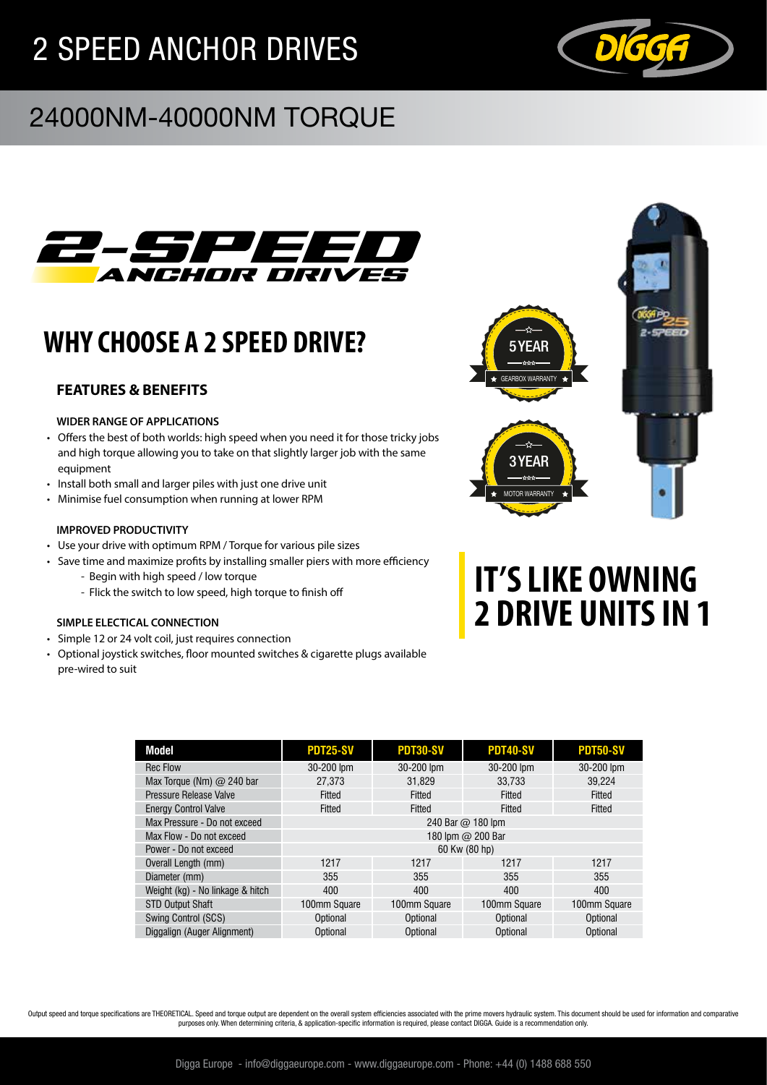# 2 SPEED ANCHOR DRIVES



## 24000NM-40000NM TORQUE



## **WHY CHOOSE A 2 SPEED DRIVE?**

### **FEATURES & BENEFITS**

#### **WIDER RANGE OF APPLICATIONS**

- Offers the best of both worlds: high speed when you need it for those tricky jobs and high torque allowing you to take on that slightly larger job with the same equipment
- Install both small and larger piles with just one drive unit
- Minimise fuel consumption when running at lower RPM

#### **IMPROVED PRODUCTIVITY**

- Use your drive with optimum RPM / Torque for various pile sizes
- Save time and maximize profits by installing smaller piers with more efficiency - Begin with high speed / low torque
	- Flick the switch to low speed, high torque to finish off

#### **SIMPLE ELECTICAL CONNECTION**

- Simple 12 or 24 volt coil, just requires connection
- Optional joystick switches, floor mounted switches & cigarette plugs available pre-wired to suit



# **IT'S LIKE OWNING 2 DRIVE UNITS IN 1**

| <b>PDT25-SV</b>   | PDT30-SV     | <b>PDT40-SV</b> | <b>PDT50-SV</b> |  |  |
|-------------------|--------------|-----------------|-----------------|--|--|
| 30-200 lpm        | 30-200 lpm   | 30-200 lpm      | 30-200 lpm      |  |  |
| 27.373            | 31.829       | 33.733          | 39.224          |  |  |
| Fitted            | Fitted       | Fitted          | Fitted          |  |  |
| Fitted            | Fitted       | Fitted          | Fitted          |  |  |
| 240 Bar @ 180 lpm |              |                 |                 |  |  |
| 180 lpm @ 200 Bar |              |                 |                 |  |  |
| 60 Kw (80 hp)     |              |                 |                 |  |  |
| 1217              | 1217         | 1217            | 1217            |  |  |
| 355               | 355          | 355             | 355             |  |  |
| 400               | 400          | 400             | 400             |  |  |
| 100mm Square      | 100mm Square | 100mm Square    | 100mm Square    |  |  |
| Optional          | Optional     | Optional        | Optional        |  |  |
| Optional          | Optional     | Optional        | Optional        |  |  |
|                   |              |                 |                 |  |  |

Output speed and torque specifications are THEORETICAL. Speed and torque output are dependent on the overall system efficiencies associated with the prime movers hydraulic system. This document should be used for informati